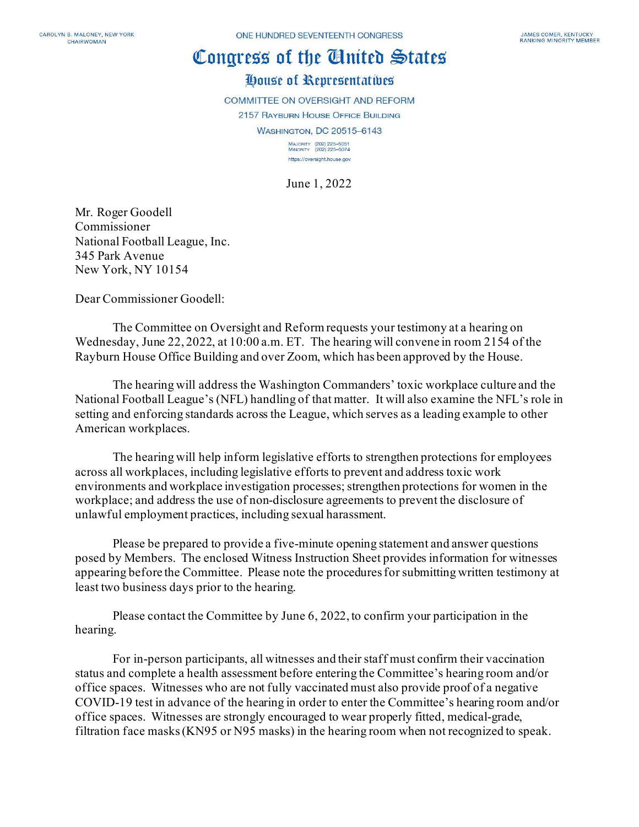## Congress of the Ginited States

## House of Representatives

**COMMITTEE ON OVERSIGHT AND REFORM** 

2157 RAYBURN HOUSE OFFICE BUILDING

**WASHINGTON, DC 20515-6143** 

MAJORITY (202) 225-5051<br>MINORITY (202) 225-5074 https://oversight.house.gov

June 1, 2022

Mr. Roger Goodell Commissioner National Football League, Inc. 345 Park Avenue New York, NY 10154

Dear Commissioner Goodell:

The Committee on Oversight and Reform requests your testimony at a hearing on Wednesday, June 22, 2022, at 10:00 a.m. ET. The hearing will convene in room 2154 of the Rayburn House Office Building and over Zoom, which has been approved by the House.

The hearing will address the Washington Commanders' toxic workplace culture and the National Football League's (NFL) handling of that matter. It will also examine the NFL's role in setting and enforcing standards across the League, which serves as a leading example to other American workplaces.

The hearing will help inform legislative efforts to strengthen protections for employees across all workplaces, including legislative efforts to prevent and address toxic work environments and workplace investigation processes; strengthen protections for women in the workplace; and address the use of non-disclosure agreements to prevent the disclosure of unlawful employment practices, including sexual harassment.

Please be prepared to provide a five-minute opening statement and answer questions posed by Members. The enclosed Witness Instruction Sheet provides information for witnesses appearing before the Committee. Please note the procedures for submitting written testimony at least two business days prior to the hearing.

Please contact the Committee by June 6, 2022, to confirm your participation in the hearing.

For in-person participants, all witnesses and their staff must confirm their vaccination status and complete a health assessment before entering the Committee's hearing room and/or office spaces. Witnesses who are not fully vaccinated must also provide proof of a negative COVID-19 test in advance of the hearing in order to enter the Committee's hearing room and/or office spaces. Witnesses are strongly encouraged to wear properly fitted, medical-grade, filtration face masks (KN95 or N95 masks) in the hearing room when not recognized to speak.